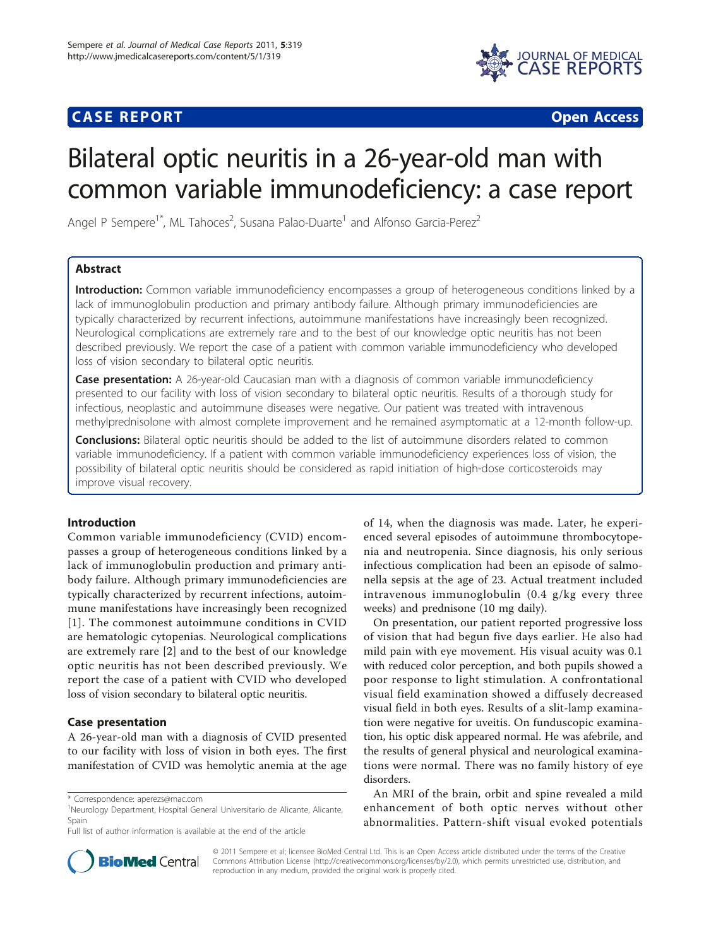# **CASE REPORT CASE ACCESS**



# Bilateral optic neuritis in a 26-year-old man with common variable immunodeficiency: a case report

Angel P Sempere<sup>1\*</sup>, ML Tahoces<sup>2</sup>, Susana Palao-Duarte<sup>1</sup> and Alfonso Garcia-Perez<sup>2</sup>

# Abstract

Introduction: Common variable immunodeficiency encompasses a group of heterogeneous conditions linked by a lack of immunoglobulin production and primary antibody failure. Although primary immunodeficiencies are typically characterized by recurrent infections, autoimmune manifestations have increasingly been recognized. Neurological complications are extremely rare and to the best of our knowledge optic neuritis has not been described previously. We report the case of a patient with common variable immunodeficiency who developed loss of vision secondary to bilateral optic neuritis.

Case presentation: A 26-year-old Caucasian man with a diagnosis of common variable immunodeficiency presented to our facility with loss of vision secondary to bilateral optic neuritis. Results of a thorough study for infectious, neoplastic and autoimmune diseases were negative. Our patient was treated with intravenous methylprednisolone with almost complete improvement and he remained asymptomatic at a 12-month follow-up.

**Conclusions:** Bilateral optic neuritis should be added to the list of autoimmune disorders related to common variable immunodeficiency. If a patient with common variable immunodeficiency experiences loss of vision, the possibility of bilateral optic neuritis should be considered as rapid initiation of high-dose corticosteroids may improve visual recovery.

# Introduction

Common variable immunodeficiency (CVID) encompasses a group of heterogeneous conditions linked by a lack of immunoglobulin production and primary antibody failure. Although primary immunodeficiencies are typically characterized by recurrent infections, autoimmune manifestations have increasingly been recognized [[1](#page-1-0)]. The commonest autoimmune conditions in CVID are hematologic cytopenias. Neurological complications are extremely rare [[2\]](#page-1-0) and to the best of our knowledge optic neuritis has not been described previously. We report the case of a patient with CVID who developed loss of vision secondary to bilateral optic neuritis.

# Case presentation

A 26-year-old man with a diagnosis of CVID presented to our facility with loss of vision in both eyes. The first manifestation of CVID was hemolytic anemia at the age of 14, when the diagnosis was made. Later, he experienced several episodes of autoimmune thrombocytopenia and neutropenia. Since diagnosis, his only serious infectious complication had been an episode of salmonella sepsis at the age of 23. Actual treatment included intravenous immunoglobulin (0.4 g/kg every three weeks) and prednisone (10 mg daily).

On presentation, our patient reported progressive loss of vision that had begun five days earlier. He also had mild pain with eye movement. His visual acuity was 0.1 with reduced color perception, and both pupils showed a poor response to light stimulation. A confrontational visual field examination showed a diffusely decreased visual field in both eyes. Results of a slit-lamp examination were negative for uveitis. On funduscopic examination, his optic disk appeared normal. He was afebrile, and the results of general physical and neurological examinations were normal. There was no family history of eye disorders.

An MRI of the brain, orbit and spine revealed a mild enhancement of both optic nerves without other abnormalities. Pattern-shift visual evoked potentials



© 2011 Sempere et al; licensee BioMed Central Ltd. This is an Open Access article distributed under the terms of the Creative Commons Attribution License [\(http://creativecommons.org/licenses/by/2.0](http://creativecommons.org/licenses/by/2.0)), which permits unrestricted use, distribution, and reproduction in any medium, provided the original work is properly cited.

<sup>\*</sup> Correspondence: [aperezs@mac.com](mailto:aperezs@mac.com)

<sup>&</sup>lt;sup>1</sup>Neurology Department, Hospital General Universitario de Alicante, Alicante, Spain

Full list of author information is available at the end of the article